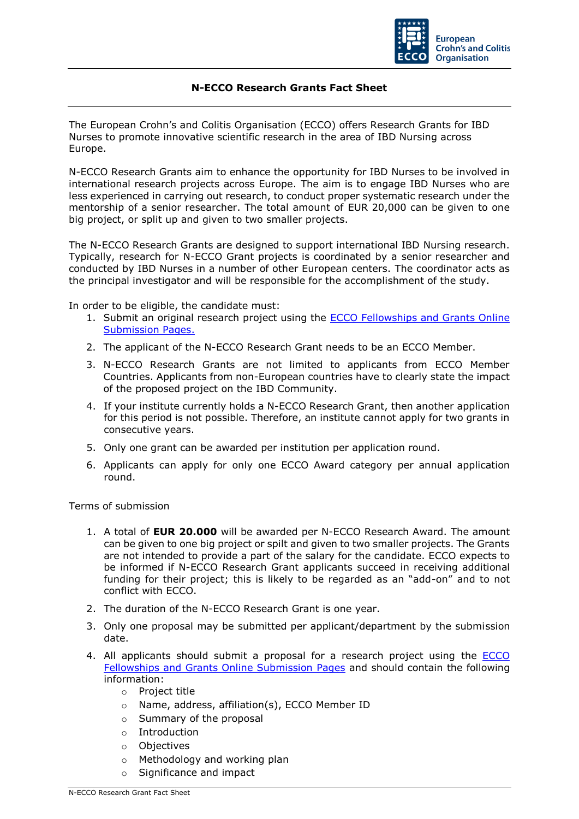

## **N-ECCO Research Grants Fact Sheet**

The European Crohn's and Colitis Organisation (ECCO) offers Research Grants for IBD Nurses to promote innovative scientific research in the area of IBD Nursing across Europe.

N-ECCO Research Grants aim to enhance the opportunity for IBD Nurses to be involved in international research projects across Europe. The aim is to engage IBD Nurses who are less experienced in carrying out research, to conduct proper systematic research under the mentorship of a senior researcher. The total amount of EUR 20,000 can be given to one big project, or split up and given to two smaller projects.

The N-ECCO Research Grants are designed to support international IBD Nursing research. Typically, research for N-ECCO Grant projects is coordinated by a senior researcher and conducted by IBD Nurses in a number of other European centers. The coordinator acts as the principal investigator and will be responsible for the accomplishment of the study.

In order to be eligible, the candidate must:

- 1. Submit an original research project using the **ECCO Fellowships and Grants Online** [Submission Pages.](https://cm.ecco-ibd.eu/cmPortal/Proposal/ASSOC22/config/normal/redirectconfig/NRGrant22)
- 2. The applicant of the N-ECCO Research Grant needs to be an ECCO Member.
- 3. N-ECCO Research Grants are not limited to applicants from ECCO Member Countries. Applicants from non-European countries have to clearly state the impact of the proposed project on the IBD Community.
- 4. If your institute currently holds a N-ECCO Research Grant, then another application for this period is not possible. Therefore, an institute cannot apply for two grants in consecutive years.
- 5. Only one grant can be awarded per institution per application round.
- 6. Applicants can apply for only one ECCO Award category per annual application round.

Terms of submission

- 1. A total of **EUR 20.000** will be awarded per N-ECCO Research Award. The amount can be given to one big project or spilt and given to two smaller projects. The Grants are not intended to provide a part of the salary for the candidate. ECCO expects to be informed if N-ECCO Research Grant applicants succeed in receiving additional funding for their project; this is likely to be regarded as an "add-on" and to not conflict with ECCO.
- 2. The duration of the N-ECCO Research Grant is one year.
- 3. Only one proposal may be submitted per applicant/department by the submission date.
- 4. All applicants should submit a proposal for a research project using the ECCO [Fellowships and Grants Online Submission Pages](https://cm.ecco-ibd.eu/cmPortal/Proposal/ASSOC22/config/normal/redirectconfig/NRGrant22) and should contain the following information:
	- o Project title
	- o Name, address, affiliation(s), ECCO Member ID
	- o Summary of the proposal
	- o Introduction
	- o Objectives
	- o Methodology and working plan
	- o Significance and impact